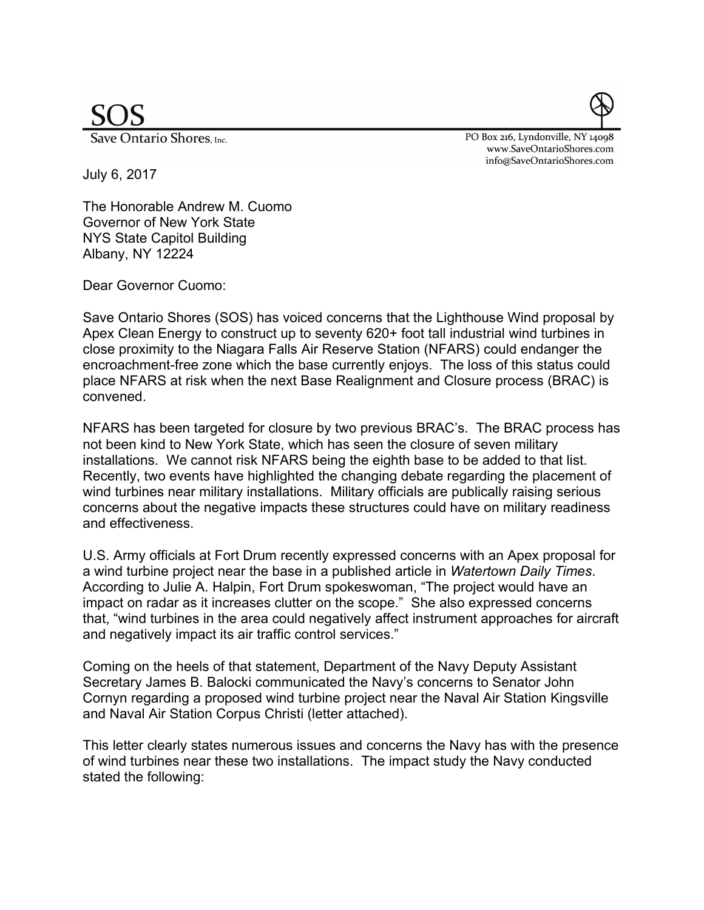Save Ontario Shores, Inc.

PO Box 216, Lyndonville, NY 14098 www.SaveOntarioShores.com info@SaveOntarioShores.com

July 6, 2017

The Honorable Andrew M. Cuomo Governor of New York State NYS State Capitol Building Albany, NY 12224

Dear Governor Cuomo:

Save Ontario Shores (SOS) has voiced concerns that the Lighthouse Wind proposal by Apex Clean Energy to construct up to seventy 620+ foot tall industrial wind turbines in close proximity to the Niagara Falls Air Reserve Station (NFARS) could endanger the encroachment-free zone which the base currently enjoys. The loss of this status could place NFARS at risk when the next Base Realignment and Closure process (BRAC) is convened.

NFARS has been targeted for closure by two previous BRAC's. The BRAC process has not been kind to New York State, which has seen the closure of seven military installations. We cannot risk NFARS being the eighth base to be added to that list. Recently, two events have highlighted the changing debate regarding the placement of wind turbines near military installations. Military officials are publically raising serious concerns about the negative impacts these structures could have on military readiness and effectiveness.

U.S. Army officials at Fort Drum recently expressed concerns with an Apex proposal for a wind turbine project near the base in a published article in *Watertown Daily Times*. According to Julie A. Halpin, Fort Drum spokeswoman, "The project would have an impact on radar as it increases clutter on the scope." She also expressed concerns that, "wind turbines in the area could negatively affect instrument approaches for aircraft and negatively impact its air traffic control services."

Coming on the heels of that statement, Department of the Navy Deputy Assistant Secretary James B. Balocki communicated the Navy's concerns to Senator John Cornyn regarding a proposed wind turbine project near the Naval Air Station Kingsville and Naval Air Station Corpus Christi (letter attached).

This letter clearly states numerous issues and concerns the Navy has with the presence of wind turbines near these two installations. The impact study the Navy conducted stated the following: